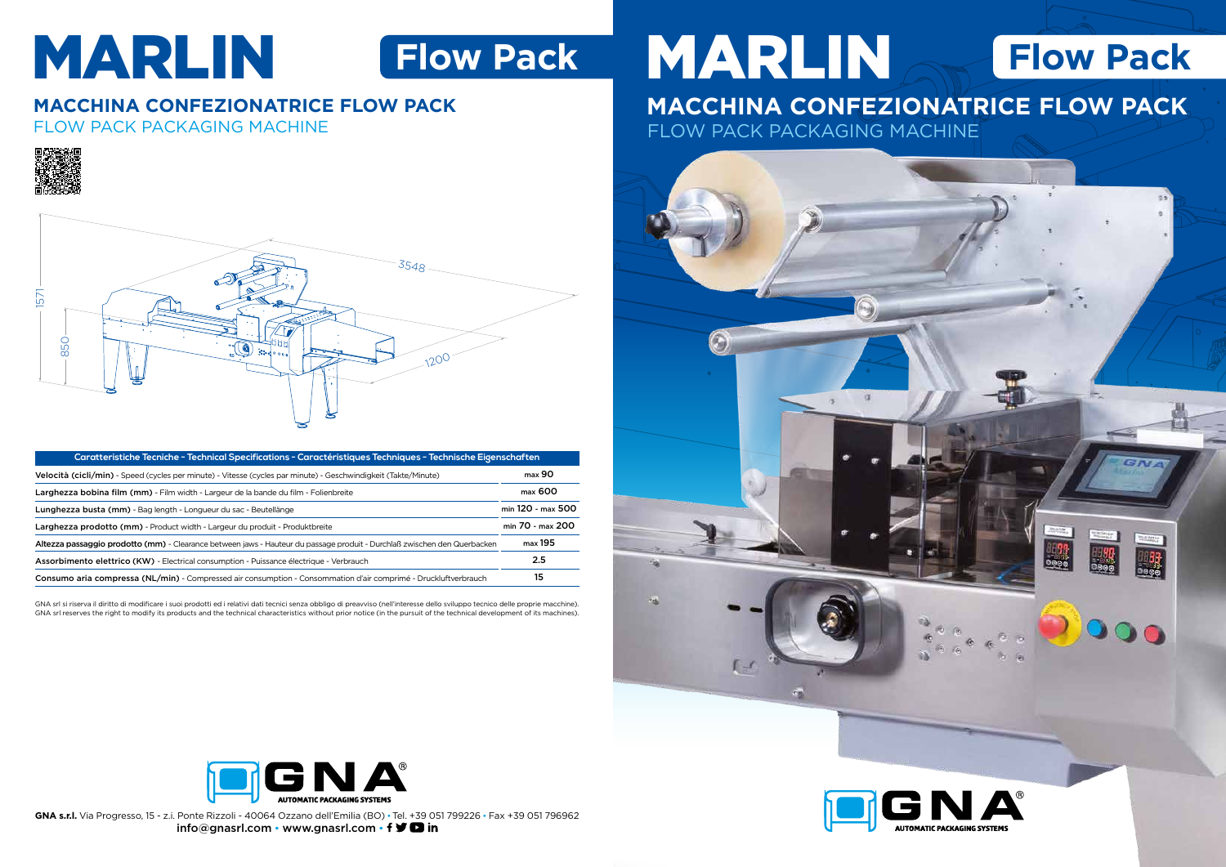# MARLIN **Flow Pack**

# **MACCHINA CONFEZIONATRICE FLOW PACK**

FLOW PACK PACKAGING MACHINE

# MARLIN **Flow Pack** FLOW PACK PACKAGING MACHINE **MACCHINA CONFEZIONATRICE FLOW PACK**









| Caratteristiche Tecniche - Technical Specifications - Caractéristiques Techniques - Technische Eigenschaften             |                   |
|--------------------------------------------------------------------------------------------------------------------------|-------------------|
| Velocità (cicli/min) - Speed (cycles per minute) - Vitesse (cycles par minute) - Geschwindigkeit (Takte/Minute)          | $max$ 90          |
| Larghezza bobina film (mm) - Film width - Largeur de la bande du film - Folienbreite                                     | max 600           |
| Lunghezza busta (mm) - Bag length - Longueur du sac - Beutellänge                                                        | min 120 - max 500 |
| Larghezza prodotto (mm) - Product width - Largeur du produit - Produktbreite                                             | min 70 - max 200  |
| Altezza passaggio prodotto (mm) - Clearance between jaws - Hauteur du passage produit - Durchlaß zwischen den Querbacken | max 195           |
| Assorbimento elettrico (KW) - Electrical consumption - Puissance électrique - Verbrauch                                  | 2.5               |
| Consumo aria compressa (NL/min) - Compressed air consumption - Consommation d'air comprimé - Druckluftverbrauch          | 15                |

GNA srl si riserva il diritto di modificare i suoi prodotti ed i relativi dati tecnici senza obbligo di preavviso (nell'interesse dello sviluppo tecnico delle proprie macchine). GNA srl reserves the right to modify its products and the technical characteristics without prior notice (in the pursuit of the technical development of its machines).

**GNA s.r.l.** Via Progresso, 15 - z.i. Ponte Rizzoli - 40064 Ozzano dell'Emilia (BO) **•** Tel. +39 051 799226 **•** Fax +39 051 796962 info@gnasrl.com **•** www.gnasrl.com **•**